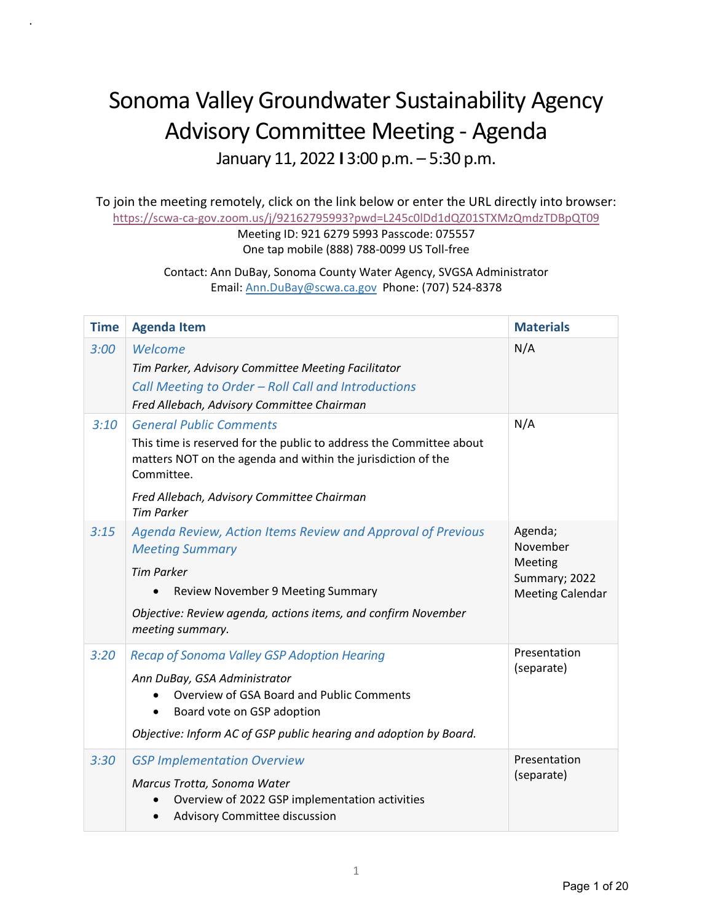## Sonoma Valley Groundwater Sustainability Agency Advisory Committee Meeting - Agenda January 11, 2022 **I** 3:00 p.m. – 5:30 p.m.

.

To join the meeting remotely, click on the link below or enter the URL directly into browser: <https://scwa-ca-gov.zoom.us/j/92162795993?pwd=L245c0lDd1dQZ01STXMzQmdzTDBpQT09>

Meeting ID: 921 6279 5993 Passcode: 075557 One tap mobile (888) 788-0099 US Toll-free

Contact: Ann DuBay, Sonoma County Water Agency, SVGSA Administrator Email: [Ann.DuBay@scwa.ca.gov](mailto:Ann.DuBay@scwa.ca.gov) Phone: (707) 524-8378

| <b>Time</b> | <b>Agenda Item</b>                                                                                                                                                                                                                                     | <b>Materials</b>                                                           |
|-------------|--------------------------------------------------------------------------------------------------------------------------------------------------------------------------------------------------------------------------------------------------------|----------------------------------------------------------------------------|
| 3:00        | Welcome<br>Tim Parker, Advisory Committee Meeting Facilitator<br>Call Meeting to Order - Roll Call and Introductions<br>Fred Allebach, Advisory Committee Chairman                                                                                     | N/A                                                                        |
| 3:10        | <b>General Public Comments</b><br>This time is reserved for the public to address the Committee about<br>matters NOT on the agenda and within the jurisdiction of the<br>Committee.<br>Fred Allebach, Advisory Committee Chairman<br><b>Tim Parker</b> | N/A                                                                        |
| 3:15        | Agenda Review, Action Items Review and Approval of Previous<br><b>Meeting Summary</b><br><b>Tim Parker</b><br>Review November 9 Meeting Summary<br>$\bullet$<br>Objective: Review agenda, actions items, and confirm November<br>meeting summary.      | Agenda;<br>November<br>Meeting<br>Summary; 2022<br><b>Meeting Calendar</b> |
| 3:20        | Recap of Sonoma Valley GSP Adoption Hearing<br>Ann DuBay, GSA Administrator<br>Overview of GSA Board and Public Comments<br>Board vote on GSP adoption<br>٠<br>Objective: Inform AC of GSP public hearing and adoption by Board.                       | Presentation<br>(separate)                                                 |
| 3:30        | <b>GSP Implementation Overview</b><br>Marcus Trotta, Sonoma Water<br>Overview of 2022 GSP implementation activities<br><b>Advisory Committee discussion</b>                                                                                            | Presentation<br>(separate)                                                 |